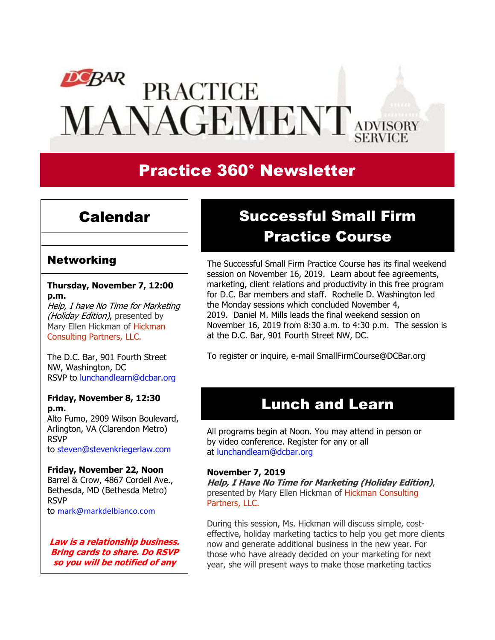# $DCBAR$ **PRACTICE MANAGEMENT** ADVISORY

# Practice 360° Newsletter

### Calendar

#### Networking

**Thursday, November 7, 12:00 p.m.**

Help, I have No Time for Marketing (Holiday Edition), presented by Mary Ellen Hickman of [Hickman](http://www.hickmanconsultingpartners.com/) [Consulting](http://www.hickmanconsultingpartners.com/) Partners, LLC.

The D.C. Bar, 901 Fourth Street NW, Washington, DC RSVP to [lunchandlearn@dcbar.org](mailto:lunchandlearn@dcbar.org?subject=RSVP%20to%20Lunch%20and%20Learn%20on%20August%208th)

#### **Friday, November 8, 12:30 p.m.**

Alto Fumo, 2909 Wilson Boulevard, Arlington, VA (Clarendon Metro) RSVP to [steven@stevenkriegerlaw.com](mailto:steven@stevenkriegerlaw.com?subject=RSVP%20to%20networking%20event%20at%20Alto%20Fumo%20on%20August%209th) 

#### **Friday, November 22, Noon**

Barrel & Crow, 4867 Cordell Ave., Bethesda, MD (Bethesda Metro) RSVP to [mark@markdelbianco.com](mailto:mark@markdelbianco.com) 

**Law is a relationship business. Bring cards to share. Do RSVP so you will be notified of any** 

# Successful Small Firm Practice Course

The [Successful Small Firm Practice Course](http://www.dcbar.org/bar-resources/practice-management-advisory-service/successful-practice.cfm?utm_source=Real%20Magnet&utm_medium=INSERT_CHANNEL&utm_campaign=INSERT_LINK_ID) has its final weekend session on November 16, 2019. Learn about fee agreements, marketing, client relations and productivity in this free program for D.C. Bar members and staff. Rochelle D. Washington led the Monday sessions which concluded November 4, 2019. Daniel M. Mills leads the final weekend session on November 16, 2019 from 8:30 a.m. to 4:30 p.m. The session is at the D.C. Bar, 901 Fourth Street NW, DC.

To register or inquire, e-mail [SmallFirmCourse@DCBar.org](mailto:SmallFirmCourse@DCBar.org) 

### Lunch and Learn

All programs begin at Noon. You may attend in person or by video conference. Register for any or all at [lunchandlearn@dcbar.org](mailto:lunchandlearn@dcbar.org?subject=Lunch%20and%20Learn)

#### **November 7, 2019**

**Help, I Have No Time for Marketing (Holiday Edition)**, presented by Mary Ellen Hickman of Hickman [Consulting](http://www.hickmanconsultingpartners.com/) [Partners,](http://www.hickmanconsultingpartners.com/) LLC.

During this session, Ms. Hickman will discuss simple, costeffective, holiday marketing tactics to help you get more clients now and generate additional business in the new year. For those who have already decided on your marketing for next year, she will present ways to make those marketing tactics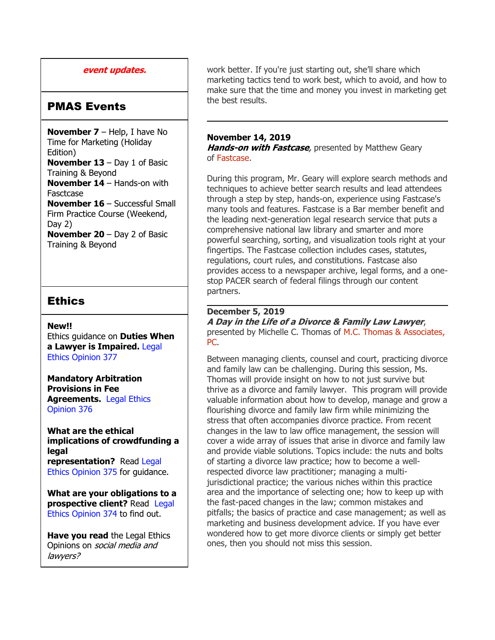#### **event updates.**

#### PMAS Events

**November 7** – Help, I have No Time for Marketing (Holiday Edition) **November 13** – Day 1 of Basic Training & Beyond **November 14** – Hands-on with **Fasctcase November 16** – Successful Small Firm Practice Course (Weekend, Day 2) **November 20** – Day 2 of Basic Training & Beyond

#### Ethics

#### **New!!**

Ethics guidance on **Duties When a Lawyer is Impaired.** [Legal](https://www.dcbar.org/bar-resources/legal-ethics/opinions/Ethics-Opinion-377.cfm?utm_source=Real%20Magnet&utm_medium=INSERT_CHANNEL&utm_campaign=INSERT_LINK_ID)  [Ethics Opinion 377](https://www.dcbar.org/bar-resources/legal-ethics/opinions/Ethics-Opinion-377.cfm?utm_source=Real%20Magnet&utm_medium=INSERT_CHANNEL&utm_campaign=INSERT_LINK_ID)

**Mandatory Arbitration Provisions in Fee Agreements.** [Legal Ethics](https://www.dcbar.org/bar-resources/legal-ethics/opinions/Ethics-Opinion-376.cfm?utm_source=Real%20Magnet&utm_medium=INSERT_CHANNEL&utm_campaign=INSERT_LINK_ID)  [Opinion 376](https://www.dcbar.org/bar-resources/legal-ethics/opinions/Ethics-Opinion-376.cfm?utm_source=Real%20Magnet&utm_medium=INSERT_CHANNEL&utm_campaign=INSERT_LINK_ID)

**What are the ethical implications of crowdfunding a legal representation?** Read [Legal](http://www.dcbar.org/bar-resources/legal-ethics/opinions/Ethics-Opinion-375.cfm?utm_source=Real%20Magnet&utm_medium=INSERT_CHANNEL&utm_campaign=INSERT_LINK_ID)  [Ethics Opinion 375](http://www.dcbar.org/bar-resources/legal-ethics/opinions/Ethics-Opinion-375.cfm?utm_source=Real%20Magnet&utm_medium=INSERT_CHANNEL&utm_campaign=INSERT_LINK_ID) for guidance.

**What are your obligations to a prospective client?** Read [Legal](http://www.dcbar.org/bar-resources/legal-ethics/opinions/Ethics-Opinion-374.cfm?utm_source=Real%20Magnet&utm_medium=INSERT_CHANNEL&utm_campaign=INSERT_LINK_ID)  [Ethics Opinion 374](http://www.dcbar.org/bar-resources/legal-ethics/opinions/Ethics-Opinion-374.cfm?utm_source=Real%20Magnet&utm_medium=INSERT_CHANNEL&utm_campaign=INSERT_LINK_ID) to find out.

**Have you read** the Legal Ethics Opinions on social media and lawyers?

work better. If you're just starting out, she'll share which marketing tactics tend to work best, which to avoid, and how to make sure that the time and money you invest in marketing get the best results.

#### **November 14, 2019**

**Hands-on with Fastcase**, presented by Matthew Geary of [Fastcase.](https://www.fastcase.com/bar_associations/d-c-bar/)

During this program, Mr. Geary will explore search methods and techniques to achieve better search results and lead attendees through a step by step, hands-on, experience using Fastcase's many tools and features. Fastcase is a Bar member benefit and the leading next-generation legal research service that puts a comprehensive national law library and smarter and more powerful searching, sorting, and visualization tools right at your fingertips. The Fastcase collection includes cases, statutes, regulations, court rules, and constitutions. Fastcase also provides access to a newspaper archive, legal forms, and a onestop PACER search of federal filings through our content partners.

#### **December 5, 2019**

**A Day in the Life of <sup>a</sup> Divorce & Family Law Lawyer**, presented by Michelle C. Thomas of M.C. Thomas & [Associates,](https://www.thomaslawdc.com/michelle-c-thomas.html) [PC.](https://www.thomaslawdc.com/michelle-c-thomas.html)

Between managing clients, counsel and court, practicing divorce and family law can be challenging. During this session, Ms. Thomas will provide insight on how to not just survive but thrive as a divorce and family lawyer. This program will provide valuable information about how to develop, manage and grow a flourishing divorce and family law firm while minimizing the stress that often accompanies divorce practice. From recent changes in the law to law office management, the session will cover a wide array of issues that arise in divorce and family law and provide viable solutions. Topics include: the nuts and bolts of starting a divorce law practice; how to become a wellrespected divorce law practitioner; managing a multijurisdictional practice; the various niches within this practice area and the importance of selecting one; how to keep up with the fast-paced changes in the law; common mistakes and pitfalls; the basics of practice and case management; as well as marketing and business development advice. If you have ever wondered how to get more divorce clients or simply get better ones, then you should not miss this session.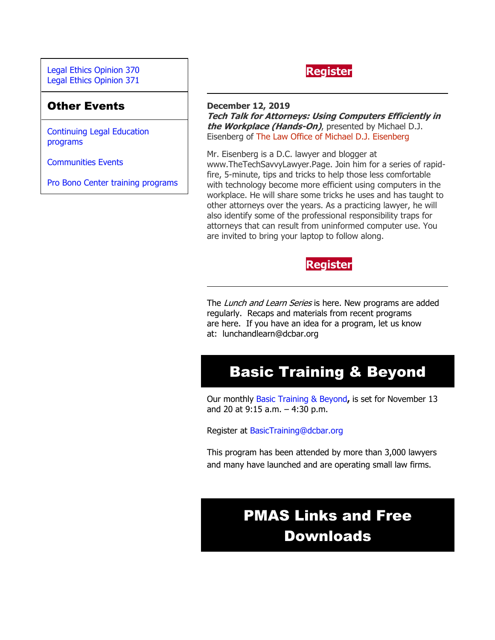[Legal Ethics Opinion](http://www.dcbar.org/bar-resources/legal-ethics/opinions/Ethics-Opinion-370.cfm?utm_source=Real%20Magnet&utm_medium=INSERT_CHANNEL&utm_campaign=INSERT_LINK_ID) 370 [Legal Ethics Opinion](http://www.dcbar.org/bar-resources/legal-ethics/opinions/Ethics-Opinion-371.cfm?utm_source=Real%20Magnet&utm_medium=INSERT_CHANNEL&utm_campaign=INSERT_LINK_ID) 371

#### Other Events

[Continuing Legal Education](https://join.dcbar.org/eweb/DynamicPage.aspx?Site=DCBar&WebKey=cbe606bc-88d4-4d37-872c-f48d412a59e5&evt_etc_key=7aaf572d-f662-422f-9fe7-0ae3f4b705be&utm_source=Real%20Magnet&utm_medium=INSERT_CHANNEL&utm_campaign=INSERT_LINK_ID)  [programs](https://join.dcbar.org/eweb/DynamicPage.aspx?Site=DCBar&WebKey=cbe606bc-88d4-4d37-872c-f48d412a59e5&evt_etc_key=7aaf572d-f662-422f-9fe7-0ae3f4b705be&utm_source=Real%20Magnet&utm_medium=INSERT_CHANNEL&utm_campaign=INSERT_LINK_ID)

[Communities Events](https://join.dcbar.org/eweb/DynamicPage.aspx?site=dcbar&webcode=EventList&utm_source=Real%20Magnet&utm_medium=INSERT_CHANNEL&utm_campaign=INSERT_LINK_ID)

Pro Bono Center [training programs](http://www.dcbar.org/pro-bono/resources-and-training/pro-bono-training.cfm?utm_source=Real%20Magnet&utm_medium=INSERT_CHANNEL&utm_campaign=INSERT_LINK_ID)



#### **December 12, 2019**

**Tech Talk for Attorneys: Using Computers Efficiently in the Workplace (Hands-On)**, presented by Michael D.J. Eisenberg of The Law Office of Michael D.J. [Eisenberg](http://www.eisenberg-lawoffice.com/)

Mr. Eisenberg is a D.C. lawyer and blogger at www.TheTechSavvyLawyer.Page. Join him for a series of rapidfire, 5-minute, tips and tricks to help those less comfortable with technology become more efficient using computers in the workplace. He will share some tricks he uses and has taught to other attorneys over the years. As a practicing lawyer, he will also identify some of the professional responsibility traps for attorneys that can result from uninformed computer use. You are invited to bring your laptop to follow along.



The Lunch and Learn Series is [here.](http://www.dcbar.org/bar-resources/practice-management-advisory-service/Lunch-Series.cfm?utm_source=Real%20Magnet&utm_medium=INSERT_CHANNEL&utm_campaign=INSERT_LINK_ID) New programs are added regularly. Recaps and materials from recent programs are [here.](http://www.dcbar.org/bar-resources/practice-management-advisory-service/Lunch-Series-Past.cfm?utm_source=Real%20Magnet&utm_medium=INSERT_CHANNEL&utm_campaign=INSERT_LINK_ID) If you have an idea for a program, let us know at: [lunchandlearn@dcbar.org](mailto:lunchandlearn@dcbar.org)

## Basic Training & Beyond

Our monthly [Basic Training & Beyond](http://www.dcbar.org/bar-resources/practice-management-advisory-service/basic-training.cfm?utm_source=Real%20Magnet&utm_medium=INSERT_CHANNEL&utm_campaign=INSERT_LINK_ID)**,** is set for November 13 and 20 at 9:15 a.m. – 4:30 p.m.

Register at [BasicTraining@dcbar.org](mailto:BasicTraining@dcbar.org?subject=Basic%20Training%20%26%20Beyond) 

This program has been attended by more than 3,000 lawyers and many have launched and are operating small law firms.

# PMAS Links and Free Downloads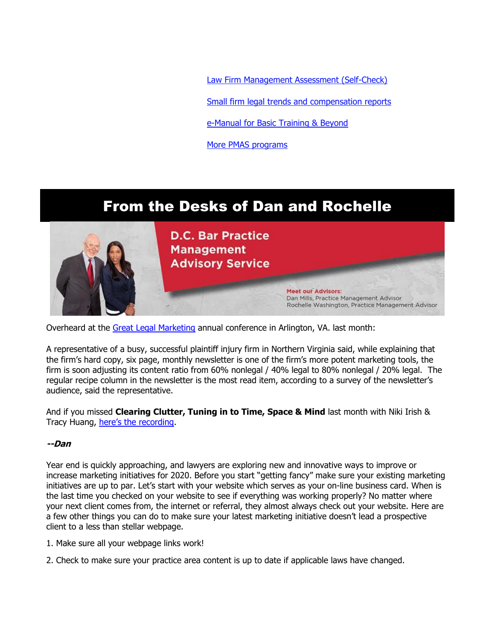[Law Firm Management Assessment \(Self-Check\)](https://www.dcbar.org/bar-resources/practice-management-advisory-service/selfcheck.cfm?utm_source=Real%20Magnet&utm_medium=INSERT_CHANNEL&utm_campaign=INSERT_LINK_ID)

[Small firm legal trends and compensation reports](http://www.dcbar.org/bar-resources/practice-management-advisory-service/basic-training-supplement.cfm?utm_source=Real%20Magnet&utm_medium=INSERT_CHANNEL&utm_campaign=INSERT_LINK_ID)

[e-Manual for Basic Training & Beyond](http://www.dcbar.org/bar-resources/practice-management-advisory-service/upload/eManual-050316.pdf?utm_source=Real%20Magnet&utm_medium=INSERT_CHANNEL&utm_campaign=INSERT_LINK_ID)

[More PMAS programs](http://www.dcbar.org/bar-resources/practice-management-advisory-service/?utm_source=Real%20Magnet&utm_medium=INSERT_CHANNEL&utm_campaign=INSERT_LINK_ID)

## From the Desks of Dan and Rochelle



Overheard at the [Great Legal Marketing](https://www.greatlegalmarketing.com/) annual conference in Arlington, VA. last month:

A representative of a busy, successful plaintiff injury firm in Northern Virginia said, while explaining that the firm's hard copy, six page, monthly newsletter is one of the firm's more potent marketing tools, the firm is soon adjusting its content ratio from 60% nonlegal / 40% legal to 80% nonlegal / 20% legal. The regular recipe column in the newsletter is the most read item, according to a survey of the newsletter's audience, said the representative.

And if you missed **Clearing Clutter, Tuning in to Time, Space & Mind** last month with Niki Irish & Tracy Huang, [here's the recording](https://www.youtube.com/watch?v=vQtBYiCwgwA&feature=youtu.be).

#### **--Dan**

Year end is quickly approaching, and lawyers are exploring new and innovative ways to improve or increase marketing initiatives for 2020. Before you start "getting fancy" make sure your existing marketing initiatives are up to par. Let's start with your website which serves as your on-line business card. When is the last time you checked on your website to see if everything was working properly? No matter where your next client comes from, the internet or referral, they almost always check out your website. Here are a few other things you can do to make sure your latest marketing initiative doesn't lead a prospective client to a less than stellar webpage.

- 1. Make sure all your webpage links work!
- 2. Check to make sure your practice area content is up to date if applicable laws have changed.